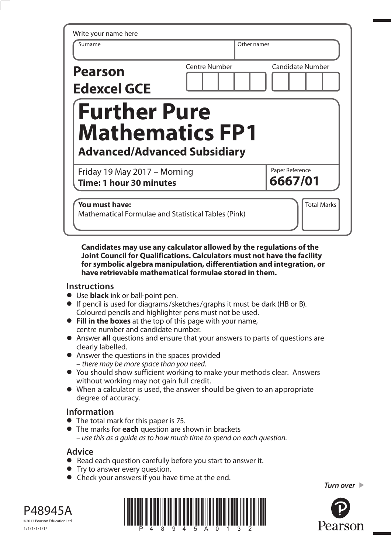| Write your name here<br>Surname                                | Other names          |                            |
|----------------------------------------------------------------|----------------------|----------------------------|
| <b>Pearson</b><br><b>Edexcel GCE</b>                           | <b>Centre Number</b> | <b>Candidate Number</b>    |
| <b>Further Pure</b>                                            |                      |                            |
| <b>Mathematics FP1</b><br><b>Advanced/Advanced Subsidiary</b>  |                      |                            |
| Friday 19 May 2017 - Morning<br><b>Time: 1 hour 30 minutes</b> |                      | Paper Reference<br>6667/01 |

**Candidates may use any calculator allowed by the regulations of the Joint Council for Qualifications. Calculators must not have the facility for symbolic algebra manipulation, differentiation and integration, or have retrievable mathematical formulae stored in them.** 

## **Instructions**

- **•** Use **black** ink or ball-point pen.
- **•** If pencil is used for diagrams/sketches/graphs it must be dark (HB or B). Coloured pencils and highlighter pens must not be used.
- **• Fill in the boxes** at the top of this page with your name, centre number and candidate number.
- **•** Answer **all** questions and ensure that your answers to parts of questions are clearly labelled.
- **•** Answer the questions in the spaces provided – there may be more space than you need.
- **•** You should show sufficient working to make your methods clear. Answers without working may not gain full credit.
- **•** When a calculator is used, the answer should be given to an appropriate degree of accuracy.

## **Information**

- **•** The total mark for this paper is 75.
- **•** The marks for **each** question are shown in brackets – use this as a guide as to how much time to spend on each question.

## **Advice**

- **Advice**<br>● Read each question carefully before you start to answer it.
- Read each question carefully<br>• Try to answer every question.
- Try to answer every question.<br>• Check your answers if you have time at the end.

*Turn over* 



P48945A ©2017 Pearson Education Ltd.

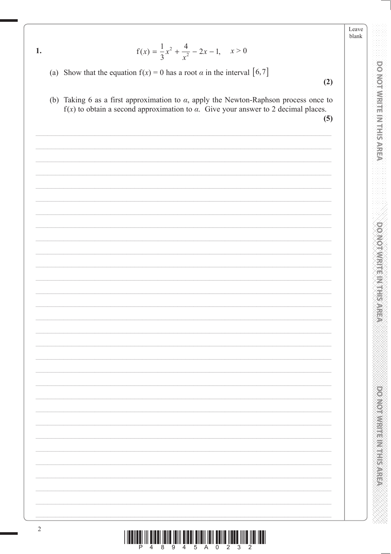Leave blank

**DO NOT WRITE IN THIS AREA** 

**DOMOTWRITE/MTHISAREA** 

**PONODIAL PRESERVATION** 

|  | - |
|--|---|

$$
f(x) = \frac{1}{3}x^2 + \frac{4}{x^2} - 2x - 1, \quad x > 0
$$

- (a) Show that the equation  $f(x) = 0$  has a root  $\alpha$  in the interval [6,7]
- $(2)$
- (b) Taking 6 as a first approximation to  $\alpha$ , apply the Newton-Raphson process once to  $f(x)$  to obtain a second approximation to  $\alpha$ . Give your answer to 2 decimal places.

 $(5)$ 

| $\sqrt{2}$ |  |
|------------|--|
|            |  |
|            |  |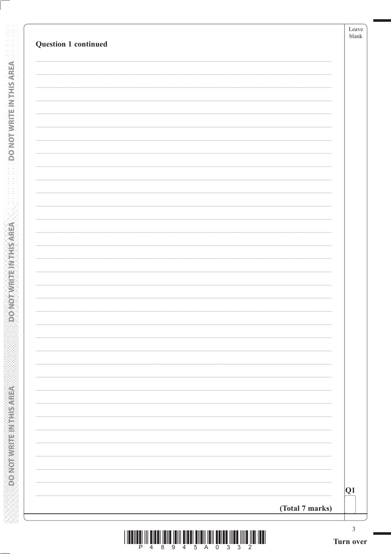| Question 1 continued |                 | Leave<br>$b$ lank |
|----------------------|-----------------|-------------------|
|                      |                 |                   |
|                      |                 |                   |
|                      |                 |                   |
|                      |                 |                   |
|                      |                 |                   |
|                      |                 |                   |
|                      |                 |                   |
|                      |                 |                   |
|                      |                 |                   |
|                      |                 |                   |
|                      |                 |                   |
|                      |                 |                   |
|                      |                 |                   |
|                      |                 |                   |
|                      |                 |                   |
|                      |                 |                   |
|                      |                 |                   |
|                      |                 |                   |
|                      |                 |                   |
|                      |                 |                   |
|                      |                 |                   |
|                      |                 |                   |
|                      |                 |                   |
|                      |                 |                   |
|                      |                 |                   |
|                      |                 |                   |
|                      |                 |                   |
|                      |                 |                   |
|                      |                 |                   |
|                      |                 |                   |
|                      |                 | Q1                |
|                      |                 |                   |
|                      | (Total 7 marks) |                   |

**DONOTWEITEINTHISAREA** 

**DONOTWRITEINTHISAREA**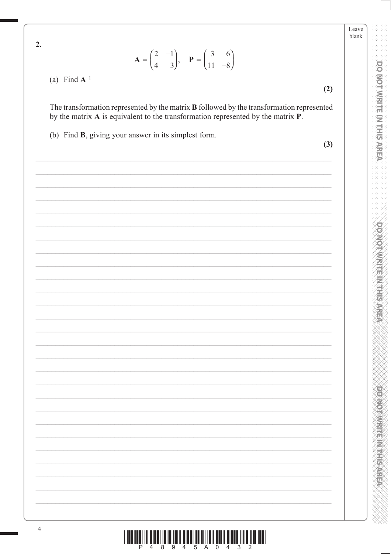$2.$ 

$$
\mathbf{A} = \begin{pmatrix} 2 & -1 \\ 4 & 3 \end{pmatrix}, \quad \mathbf{P} = \begin{pmatrix} 3 & 6 \\ 11 & -8 \end{pmatrix}
$$

(a) Find  $A^{-1}$ 

The transformation represented by the matrix **B** followed by the transformation represented by the matrix A is equivalent to the transformation represented by the matrix P.

(b) Find B, giving your answer in its simplest form.

 $(3)$ 

 $(2)$ 

Leave blank

**DO NOT WRITE IN THIS AREA** 

**DOMOTIVIER IN THE INTER** 

**PRODUCTS IN THE REPORT OF**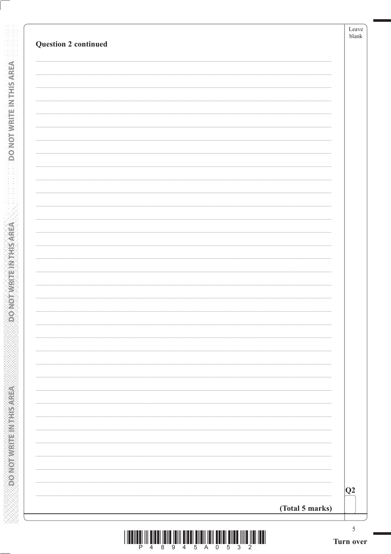| Q2 <br>(Total 5 marks) | <b>Question 2 continued</b> | Leave<br>blank |
|------------------------|-----------------------------|----------------|
|                        |                             |                |
|                        |                             |                |
|                        |                             |                |
|                        |                             |                |
|                        |                             |                |
|                        |                             |                |
|                        |                             |                |
|                        |                             |                |
|                        |                             |                |
|                        |                             |                |
|                        |                             |                |
|                        |                             |                |
|                        |                             |                |
|                        |                             |                |
|                        |                             |                |
|                        |                             |                |
|                        |                             |                |
|                        |                             |                |
|                        |                             |                |
|                        |                             |                |
|                        |                             |                |
|                        |                             |                |
|                        |                             |                |
|                        |                             |                |
|                        |                             |                |
|                        |                             |                |
|                        |                             |                |
|                        |                             |                |
|                        |                             |                |
|                        |                             |                |
|                        |                             |                |

**DONOTWATEWANSAREA** 

**DONOT WRITEINTHS AREA**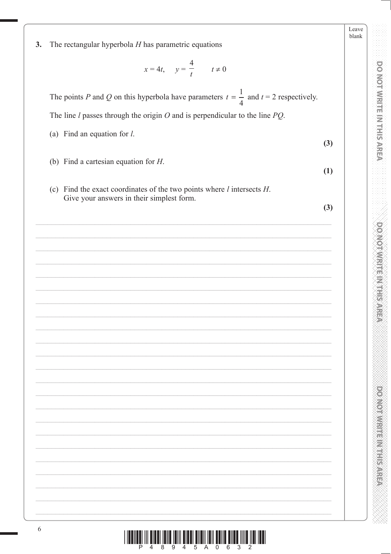|    |                                                                                                  | Leave<br>blank |
|----|--------------------------------------------------------------------------------------------------|----------------|
| 3. | The rectangular hyperbola $H$ has parametric equations                                           |                |
|    | $x = 4t$ , $y = \frac{4}{t}$ $t \neq 0$                                                          |                |
|    | The points P and Q on this hyperbola have parameters $t = \frac{1}{4}$ and $t = 2$ respectively. |                |
|    | The line $l$ passes through the origin $O$ and is perpendicular to the line $PQ$ .               |                |
|    | (a) Find an equation for $l$ .                                                                   |                |
|    | (3)                                                                                              |                |
|    | (b) Find a cartesian equation for $H$ .<br>(1)                                                   |                |
|    | (c) Find the exact coordinates of the two points where $l$ intersects $H$ .                      |                |
|    | Give your answers in their simplest form.<br>(3)                                                 |                |
|    |                                                                                                  |                |
|    |                                                                                                  |                |
|    |                                                                                                  |                |
|    |                                                                                                  |                |
|    |                                                                                                  |                |
|    |                                                                                                  |                |
|    |                                                                                                  |                |
|    |                                                                                                  |                |
|    |                                                                                                  |                |
|    |                                                                                                  |                |
|    |                                                                                                  |                |
|    |                                                                                                  |                |
|    |                                                                                                  |                |
|    |                                                                                                  |                |
|    |                                                                                                  |                |
|    |                                                                                                  |                |
|    |                                                                                                  |                |
|    |                                                                                                  |                |
|    |                                                                                                  |                |
|    |                                                                                                  |                |
|    |                                                                                                  |                |

**DO NOT WRITE IN THIS AREA** AREA AND CONOXICTORY CONTROLS

**DOO WORKING IN THE MARKET AND ARRIVE** 

XXXXX

1000 de jaroj:<br>1000 de jaroj:

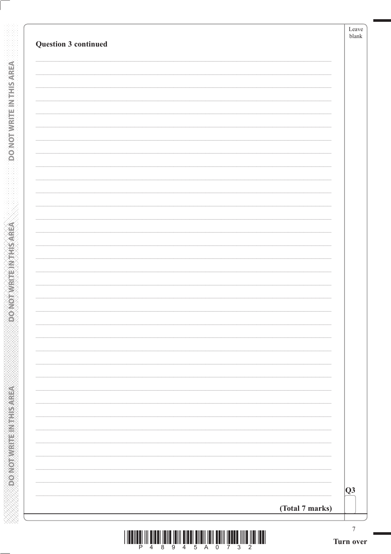| Question 3 continued | Leave<br>blank  |
|----------------------|-----------------|
|                      |                 |
|                      |                 |
|                      |                 |
|                      |                 |
|                      |                 |
|                      |                 |
|                      |                 |
|                      |                 |
|                      |                 |
|                      |                 |
|                      |                 |
|                      |                 |
|                      |                 |
|                      |                 |
|                      |                 |
|                      | Q3              |
|                      | (Total 7 marks) |

**DONOTWRITE IN THIS AREA** 

**ABIN SHERWARE IN THE AREA**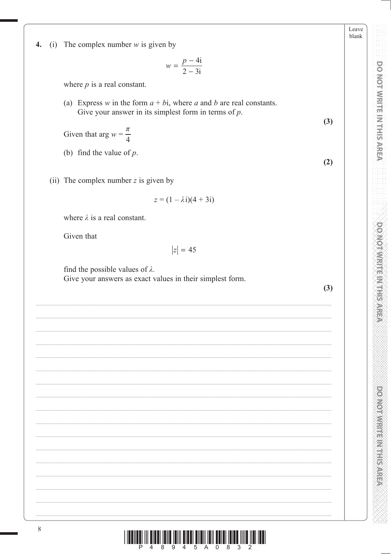Leave blank

**DO NOT WRITE IN THIS AREA** 

**DOMOTWRITEM HISAREA** 

**DOMOTHMENT ENGINEER** 

 $\boldsymbol{4}$ . (i) The complex number  $w$  is given by

$$
w = \frac{p - 4i}{2 - 3i}
$$

where  $p$  is a real constant.

(a) Express w in the form  $a + bi$ , where a and b are real constants. Give your answer in its simplest form in terms of  $p$ .

Given that arg  $w = \frac{\pi}{4}$ 

- (b) find the value of  $p$ .
- (ii) The complex number  $z$  is given by

$$
z = (1 - \lambda i)(4 + 3i)
$$

where  $\lambda$  is a real constant.

Given that

$$
|z|=45
$$

find the possible values of  $\lambda$ .

Give your answers as exact values in their simplest form.

 $(3)$ 

 $(3)$ 

 $(2)$ 

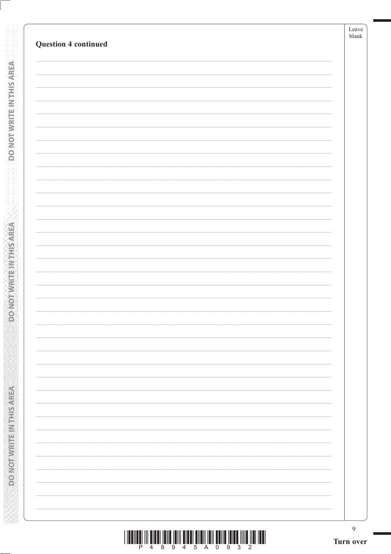| <b>Question 4 continued</b> | Leave<br>blank |
|-----------------------------|----------------|
|                             |                |
|                             |                |
|                             |                |
|                             |                |
|                             |                |
|                             |                |
|                             |                |
|                             |                |
|                             |                |
|                             |                |
|                             |                |
|                             |                |
|                             |                |
|                             |                |
|                             |                |
|                             |                |
|                             |                |
|                             |                |
|                             |                |
|                             |                |
|                             |                |
|                             |                |
|                             |                |
|                             |                |
|                             |                |
|                             |                |
|                             |                |
|                             |                |
|                             |                |
|                             |                |
|                             |                |
|                             |                |
|                             | 9              |

**DONOTWEITEINTHIS AREA** 

**BOONOT WRITEIN THIS AREA** 

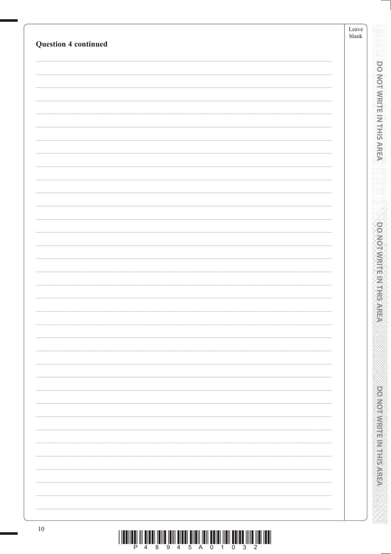| <b>Question 4 continued</b> | Leave<br>${\it blank}$ |                                                |
|-----------------------------|------------------------|------------------------------------------------|
|                             |                        |                                                |
|                             |                        | <b>DO MOT WRITE IN THIS AREA</b>               |
|                             |                        |                                                |
|                             |                        |                                                |
|                             |                        |                                                |
|                             |                        |                                                |
|                             |                        |                                                |
|                             |                        |                                                |
|                             |                        | <b>DO NOT WRITE INTERS</b>                     |
|                             |                        |                                                |
|                             |                        |                                                |
|                             |                        |                                                |
|                             |                        |                                                |
|                             |                        |                                                |
|                             |                        |                                                |
|                             |                        |                                                |
|                             |                        |                                                |
|                             |                        |                                                |
|                             |                        |                                                |
|                             |                        | <b>Provident in the control of the control</b> |
|                             |                        |                                                |
|                             |                        |                                                |
| $10\,$                      |                        |                                                |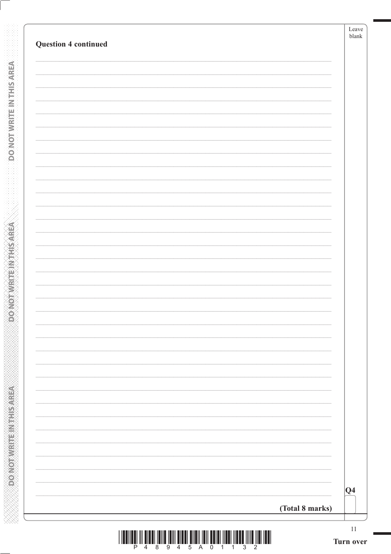**DONOTWRITEINTHISAREA** 

**ASSAMPLINES IN THIS AREA** 

**ARAN MANAN MANAN MANAN MANAN MANAN MAN**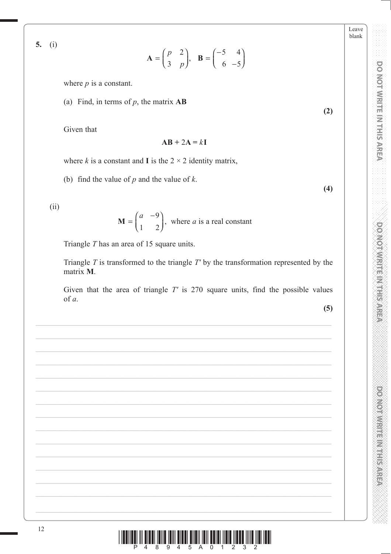**DOMOTIVE HARRIST SARRIS** 

Leave blank

5.  $(i)$ 

$$
\mathbf{A} = \begin{pmatrix} p & 2 \\ 3 & p \end{pmatrix}, \quad \mathbf{B} = \begin{pmatrix} -5 & 4 \\ 6 & -5 \end{pmatrix}
$$

where  $p$  is a constant.

(a) Find, in terms of  $p$ , the matrix  $\mathbf{AB}$ 

Given that

$$
AB + 2A = kI
$$

where k is a constant and I is the  $2 \times 2$  identity matrix,

(b) find the value of  $p$  and the value of  $k$ .

 $(ii)$ 

$$
\mathbf{M} = \begin{pmatrix} a & -9 \\ 1 & 2 \end{pmatrix}
$$
, where *a* is a real constant

Triangle  $T$  has an area of 15 square units.

Triangle  $T$  is transformed to the triangle  $T'$  by the transformation represented by the matrix M.

Given that the area of triangle  $T'$  is 270 square units, find the possible values of a.

 $(5)$ 

 $(2)$ 

 $(4)$ 

İlan <sup>8</sup>ana <sup>8</sup>anı İlan Êhalı Yan Barat İlara İlara İldi İlar  $\Delta$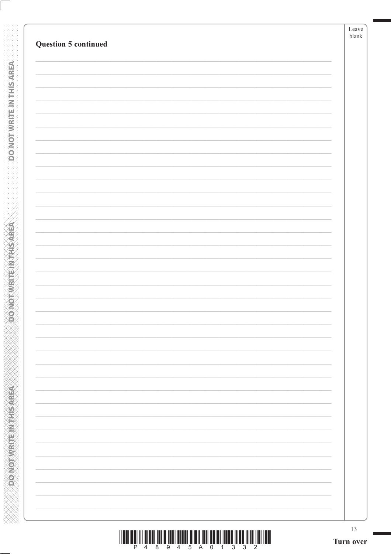**DONOTWRITE INTHISAREA** 

**RESISTED MOTOR CONCORDING** 

|  |  | 4 8 9 4 5 A 0 1 3 3 2 |  |  |  |  |
|--|--|-----------------------|--|--|--|--|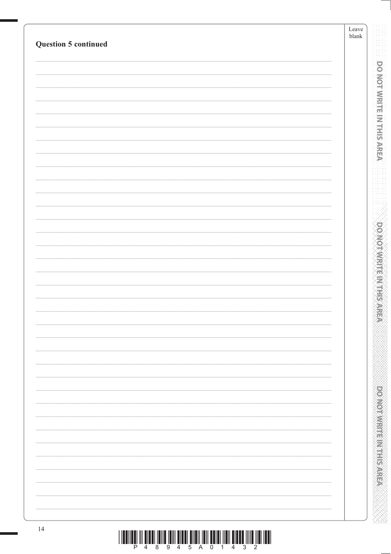| <b>Question 5 continued</b>                                                                                                                                                                                                                                                                                                                                                                                                                                                                                                                           | Leave<br>${\it blank}$ |                                  |
|-------------------------------------------------------------------------------------------------------------------------------------------------------------------------------------------------------------------------------------------------------------------------------------------------------------------------------------------------------------------------------------------------------------------------------------------------------------------------------------------------------------------------------------------------------|------------------------|----------------------------------|
|                                                                                                                                                                                                                                                                                                                                                                                                                                                                                                                                                       |                        |                                  |
|                                                                                                                                                                                                                                                                                                                                                                                                                                                                                                                                                       |                        | <b>DO NOT WRITE IN THIS AREA</b> |
|                                                                                                                                                                                                                                                                                                                                                                                                                                                                                                                                                       |                        |                                  |
|                                                                                                                                                                                                                                                                                                                                                                                                                                                                                                                                                       |                        |                                  |
|                                                                                                                                                                                                                                                                                                                                                                                                                                                                                                                                                       |                        |                                  |
|                                                                                                                                                                                                                                                                                                                                                                                                                                                                                                                                                       |                        |                                  |
|                                                                                                                                                                                                                                                                                                                                                                                                                                                                                                                                                       |                        |                                  |
|                                                                                                                                                                                                                                                                                                                                                                                                                                                                                                                                                       |                        |                                  |
|                                                                                                                                                                                                                                                                                                                                                                                                                                                                                                                                                       |                        |                                  |
|                                                                                                                                                                                                                                                                                                                                                                                                                                                                                                                                                       |                        |                                  |
|                                                                                                                                                                                                                                                                                                                                                                                                                                                                                                                                                       |                        |                                  |
|                                                                                                                                                                                                                                                                                                                                                                                                                                                                                                                                                       |                        | <b>DO MOTAMRITE INTERS</b>       |
|                                                                                                                                                                                                                                                                                                                                                                                                                                                                                                                                                       |                        |                                  |
|                                                                                                                                                                                                                                                                                                                                                                                                                                                                                                                                                       |                        |                                  |
|                                                                                                                                                                                                                                                                                                                                                                                                                                                                                                                                                       |                        |                                  |
|                                                                                                                                                                                                                                                                                                                                                                                                                                                                                                                                                       |                        |                                  |
|                                                                                                                                                                                                                                                                                                                                                                                                                                                                                                                                                       |                        |                                  |
|                                                                                                                                                                                                                                                                                                                                                                                                                                                                                                                                                       |                        |                                  |
|                                                                                                                                                                                                                                                                                                                                                                                                                                                                                                                                                       |                        |                                  |
|                                                                                                                                                                                                                                                                                                                                                                                                                                                                                                                                                       |                        |                                  |
|                                                                                                                                                                                                                                                                                                                                                                                                                                                                                                                                                       |                        |                                  |
|                                                                                                                                                                                                                                                                                                                                                                                                                                                                                                                                                       |                        |                                  |
|                                                                                                                                                                                                                                                                                                                                                                                                                                                                                                                                                       |                        |                                  |
|                                                                                                                                                                                                                                                                                                                                                                                                                                                                                                                                                       |                        |                                  |
|                                                                                                                                                                                                                                                                                                                                                                                                                                                                                                                                                       |                        |                                  |
| 14                                                                                                                                                                                                                                                                                                                                                                                                                                                                                                                                                    |                        |                                  |
| $\begin{array}{c} \text{array}\begin{bmatrix} \text{min} \\ \text{min} \end{bmatrix} \end{array} \begin{array}{c} \begin{bmatrix} \text{min} \\ \text{min} \end{bmatrix} \end{array} \begin{array}{c} \begin{bmatrix} \text{min} \\ \text{min} \end{bmatrix} \end{array} \begin{array}{c} \begin{bmatrix} \text{min} \\ \text{min} \end{bmatrix} \end{array} \begin{array}{c} \begin{bmatrix} \text{min} \\ \text{min} \end{bmatrix} \end{array} \begin{array}{c} \begin{bmatrix} \text{min} \\ \text{min} \end{bmatrix} \end{array} \begin{array}{c$ |                        |                                  |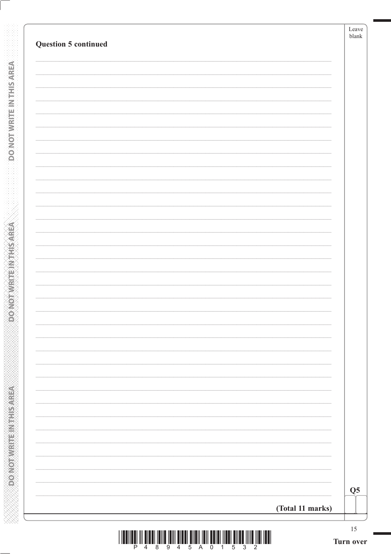| Question 5 continued |                  |                |
|----------------------|------------------|----------------|
|                      |                  |                |
|                      |                  |                |
|                      |                  |                |
|                      |                  |                |
|                      |                  |                |
|                      |                  |                |
|                      |                  |                |
|                      |                  |                |
|                      |                  |                |
|                      |                  |                |
|                      |                  |                |
|                      |                  |                |
|                      |                  |                |
|                      |                  |                |
|                      |                  |                |
|                      |                  |                |
|                      |                  |                |
|                      |                  |                |
|                      |                  |                |
|                      |                  |                |
|                      |                  |                |
|                      |                  |                |
|                      |                  | Q <sub>5</sub> |
|                      | (Total 11 marks) |                |

**DONOTWRITEWTHSAREA** 

**DONOTHEIM EINTERVEER** 

**ARAN MANAN MANAN MANAN MANAN MANAN MAN**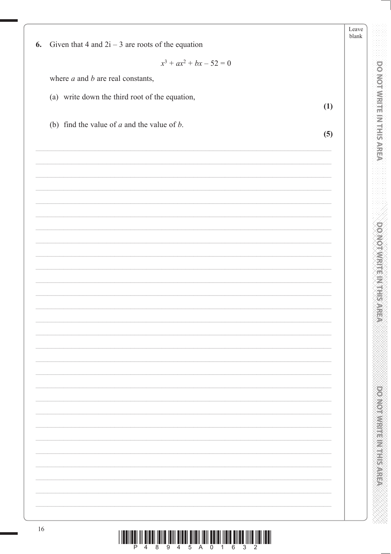|    |                                                     | Leave<br>blank |
|----|-----------------------------------------------------|----------------|
| 6. | Given that 4 and $2i - 3$ are roots of the equation |                |
|    | $x^3 + ax^2 + bx - 52 = 0$                          |                |
|    | where $a$ and $b$ are real constants,               |                |
|    | (a) write down the third root of the equation,      |                |
|    | (1)                                                 |                |
|    | (b) find the value of $a$ and the value of $b$ .    |                |
|    | (5)                                                 |                |
|    |                                                     |                |
|    |                                                     |                |
|    |                                                     |                |
|    |                                                     |                |
|    |                                                     |                |
|    |                                                     |                |
|    |                                                     |                |
|    |                                                     |                |
|    |                                                     |                |
|    |                                                     |                |
|    |                                                     |                |
|    |                                                     |                |
|    |                                                     |                |
|    |                                                     |                |
|    |                                                     |                |
|    |                                                     |                |
|    |                                                     |                |
|    |                                                     |                |
|    |                                                     |                |
|    |                                                     |                |
|    |                                                     |                |
|    |                                                     |                |
|    |                                                     |                |
|    |                                                     |                |
|    |                                                     |                |
| 16 |                                                     |                |

**CONOTING THE MISSING** 

XXXXXX

1.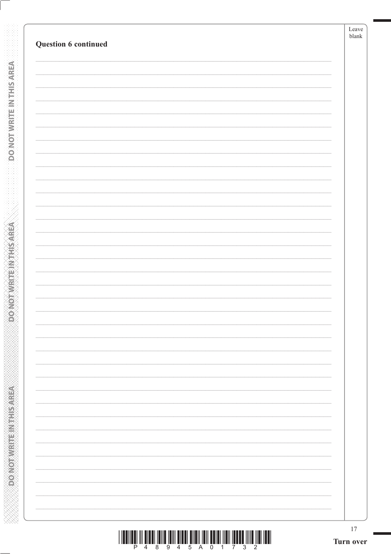DO NOT WRITE IN THIS AREA

**ABRASHMAN SHAMONGONG** 

| <u> I III MARTIN DI KATIKA MARTIN MARTIN MARTIN MARTIN MARTIN MARTIN MARTIN MARTIN MARTIN MARTIN MARTIN MARTIN M</u> |  |  |                     |  |  |  |
|----------------------------------------------------------------------------------------------------------------------|--|--|---------------------|--|--|--|
|                                                                                                                      |  |  | 4 8 9 4 5 A 0 1 7 3 |  |  |  |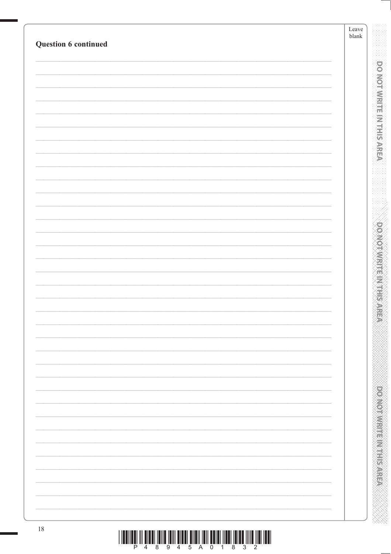| Question 6 continued | Leave<br>${\it blank}$ |
|----------------------|------------------------|
|                      |                        |
|                      |                        |
|                      |                        |
|                      |                        |
|                      |                        |
|                      |                        |
|                      |                        |
|                      |                        |
|                      |                        |
|                      |                        |
|                      |                        |
|                      |                        |
|                      |                        |
|                      |                        |
|                      |                        |
|                      |                        |
|                      |                        |
|                      |                        |
|                      |                        |
|                      |                        |
|                      |                        |
|                      |                        |
|                      |                        |
| $18\,$               |                        |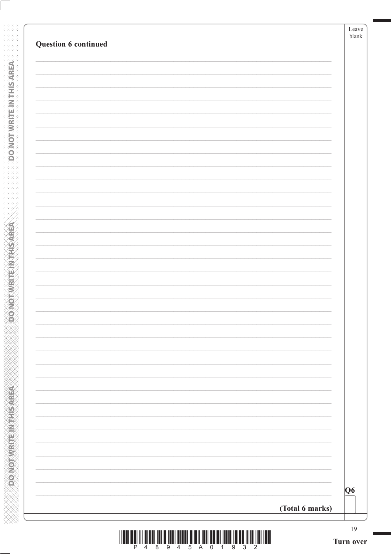**DONOTWATEWTHSAREA** 

**DONOTWRITEIN THIS AREA**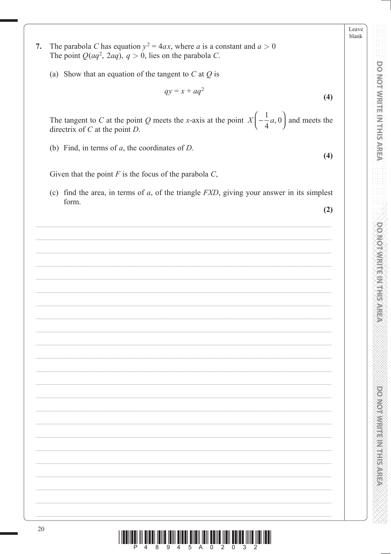Leave blank

**PONODIAMENTERS** 

The parabola C has equation  $y^2 = 4ax$ , where a is a constant and  $a > 0$ 7. The point  $Q(aq^2, 2aq), q > 0$ , lies on the parabola C.

(a) Show that an equation of the tangent to  $C$  at  $Q$  is

$$
qy = x + aq^2
$$

The tangent to C at the point Q meets the x-axis at the point  $X\left(-\frac{1}{4}a, 0\right)$  and meets the directrix of  $C$  at the point  $D$ .

(b) Find, in terms of  $a$ , the coordinates of  $D$ .

Given that the point  $F$  is the focus of the parabola  $C$ ,

(c) find the area, in terms of  $a$ , of the triangle  $FXD$ , giving your answer in its simplest form.

 $(2)$ 

 $(4)$ 

 $(4)$ 

Î III **dina Îbilo Îbili dina Êlibi**li**bil Êlibi**l <mark>dina Îbili êlibi <sup>3</sup>ilib Îbil ibil</mark>i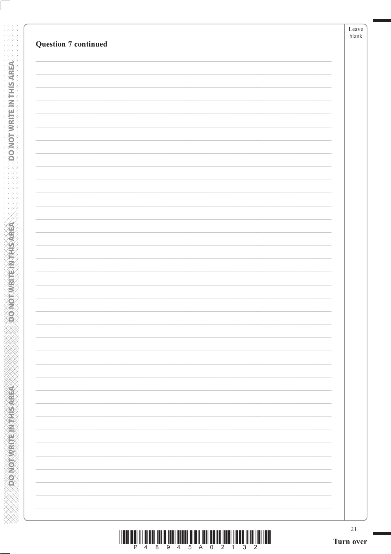| $21\,$ |
|--------|
|        |
|        |
|        |
|        |
|        |
|        |
|        |
|        |
|        |
|        |
|        |
|        |
|        |
|        |
|        |
|        |
|        |
|        |
|        |

**DONOTWRITE INTHISAREA** 

**ASSESSMENT PRODUCTION** 

|  |  |  | 48945A02 |  |  |  |
|--|--|--|----------|--|--|--|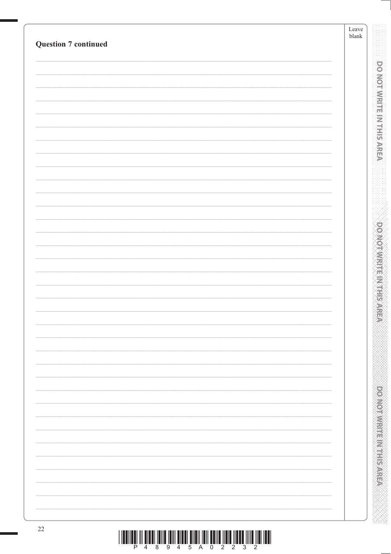| <b>Question 7 continued</b> | Leave<br>$\ensuremath{\textrm{blank}}$ |
|-----------------------------|----------------------------------------|
|                             |                                        |
|                             |                                        |
|                             |                                        |
|                             |                                        |
|                             |                                        |
|                             |                                        |
|                             |                                        |
|                             |                                        |
|                             |                                        |
|                             |                                        |
|                             |                                        |
|                             |                                        |
|                             |                                        |
|                             |                                        |
|                             |                                        |
|                             |                                        |
|                             |                                        |
|                             |                                        |
|                             |                                        |
|                             |                                        |
|                             |                                        |
|                             |                                        |
|                             |                                        |
|                             |                                        |
|                             |                                        |
|                             |                                        |
|                             |                                        |
|                             |                                        |
|                             |                                        |
|                             |                                        |
|                             |                                        |
|                             |                                        |
|                             |                                        |
|                             |                                        |
|                             |                                        |
|                             |                                        |

 $\begin{array}{c} \text{if} \ \text{if} \ \text{if} \ \text{if} \ \text{if} \ \text{if} \ \text{if} \ \text{if} \ \text{if} \ \text{if} \ \text{if} \ \text{if} \ \text{if} \ \text{if} \ \text{if} \ \text{if} \ \text{if} \ \text{if} \ \text{if} \ \text{if} \ \text{if} \ \text{if} \ \text{if} \ \text{if} \ \text{if} \ \text{if} \ \text{if} \ \text{if} \ \text{if} \ \text{if} \ \text{if} \ \text{if} \ \text{if} \ \text{if} \ \text{if} \ \text{$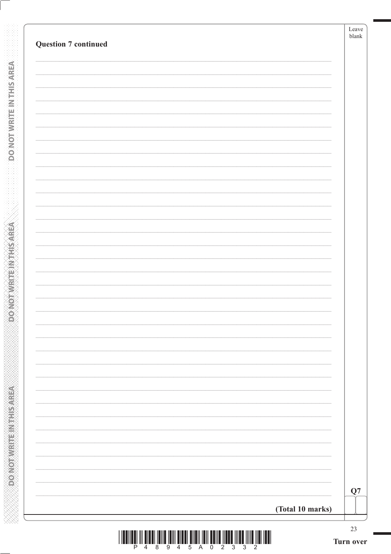**DONOTWRITEINTHISAREA** 

**PONOTWRITEINITHSAREA**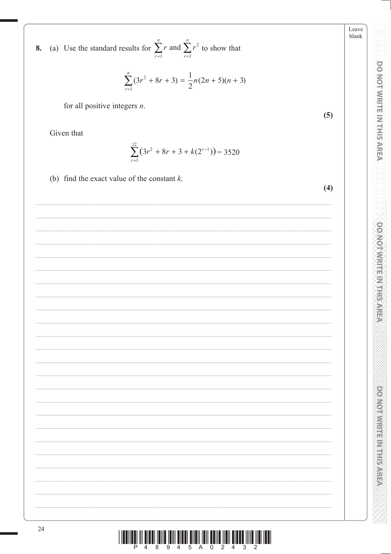

8. (a) Use the standard results for  $\sum_{r=1}^{n} r$  and  $\sum_{r=1}^{n} r^2$  to show that

for all positive integers  $n$ .

Given that

$$
\sum_{r=1}^{12} (3r^2 + 8r + 3 + k(2^{r-1})) = 3520
$$

(b) find the exact value of the constant  $k$ .

 $(5)$ 

Leave blank

 $(4)$ 

|                         |  |  |  |  | <u> FINDEN IN DIE IN DIE TRIE TE EEN DIE TIJDE TE TE EEN DIE TIJDE TIJDE TIJDE TIJDE TIJDE TIJDE TIJDE TIJDE TIJD</u> |  |
|-------------------------|--|--|--|--|-----------------------------------------------------------------------------------------------------------------------|--|
| P 4 8 9 4 5 A 0 2 4 3 2 |  |  |  |  |                                                                                                                       |  |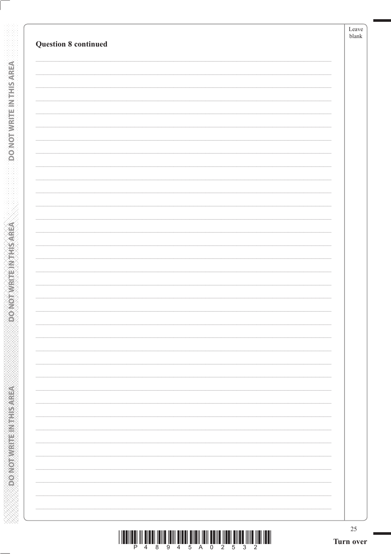**DO NOT WRITE INTERSAREA** 

**ABING THE RIVERS ON GOVERN** 

| <u>TITLINI III OTO ILI ON TULI ON ON KUULUU ON TULI ON TULI ON TULI ON TULI ON TULI ON TULI ON TULI ON TULI ON TU</u> |                       |  |  |  |  |  |
|-----------------------------------------------------------------------------------------------------------------------|-----------------------|--|--|--|--|--|
|                                                                                                                       | 4 8 9 4 5 A 0 2 5 3 2 |  |  |  |  |  |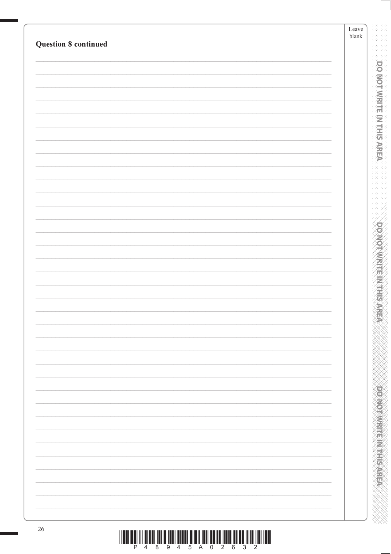| <b>Question 8 continued</b> | ${\rm Leave}$<br>$\ensuremath{\mathit{blank}}$ |
|-----------------------------|------------------------------------------------|
|                             |                                                |
|                             |                                                |
|                             |                                                |
|                             |                                                |
|                             |                                                |
|                             |                                                |
|                             |                                                |
|                             |                                                |
|                             |                                                |
|                             |                                                |
|                             |                                                |
|                             |                                                |
|                             |                                                |
|                             |                                                |
|                             |                                                |
|                             |                                                |
|                             |                                                |
|                             |                                                |
|                             |                                                |
|                             |                                                |
|                             |                                                |
|                             |                                                |
|                             |                                                |
|                             |                                                |
|                             |                                                |
|                             |                                                |
|                             |                                                |
|                             |                                                |
|                             |                                                |
|                             |                                                |
|                             |                                                |
|                             |                                                |
|                             |                                                |
|                             |                                                |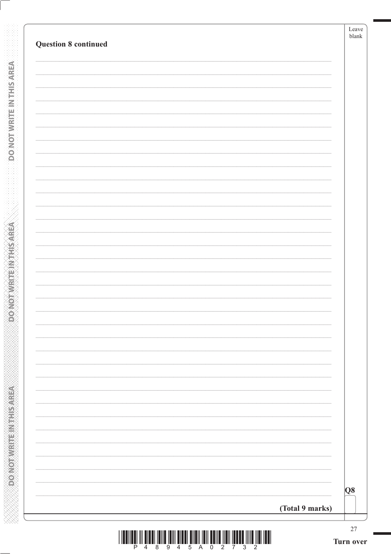| <b>Question 8 continued</b>                                                                                                                                                                                                                                                                                                                                                                                                                                   |                 | blank     |
|---------------------------------------------------------------------------------------------------------------------------------------------------------------------------------------------------------------------------------------------------------------------------------------------------------------------------------------------------------------------------------------------------------------------------------------------------------------|-----------------|-----------|
|                                                                                                                                                                                                                                                                                                                                                                                                                                                               |                 |           |
|                                                                                                                                                                                                                                                                                                                                                                                                                                                               |                 |           |
|                                                                                                                                                                                                                                                                                                                                                                                                                                                               |                 |           |
|                                                                                                                                                                                                                                                                                                                                                                                                                                                               |                 |           |
|                                                                                                                                                                                                                                                                                                                                                                                                                                                               |                 |           |
|                                                                                                                                                                                                                                                                                                                                                                                                                                                               |                 |           |
|                                                                                                                                                                                                                                                                                                                                                                                                                                                               |                 |           |
|                                                                                                                                                                                                                                                                                                                                                                                                                                                               |                 |           |
|                                                                                                                                                                                                                                                                                                                                                                                                                                                               |                 |           |
|                                                                                                                                                                                                                                                                                                                                                                                                                                                               |                 |           |
|                                                                                                                                                                                                                                                                                                                                                                                                                                                               |                 |           |
|                                                                                                                                                                                                                                                                                                                                                                                                                                                               |                 |           |
|                                                                                                                                                                                                                                                                                                                                                                                                                                                               |                 |           |
|                                                                                                                                                                                                                                                                                                                                                                                                                                                               |                 |           |
|                                                                                                                                                                                                                                                                                                                                                                                                                                                               |                 |           |
|                                                                                                                                                                                                                                                                                                                                                                                                                                                               |                 |           |
|                                                                                                                                                                                                                                                                                                                                                                                                                                                               |                 |           |
|                                                                                                                                                                                                                                                                                                                                                                                                                                                               |                 |           |
|                                                                                                                                                                                                                                                                                                                                                                                                                                                               |                 |           |
|                                                                                                                                                                                                                                                                                                                                                                                                                                                               |                 |           |
|                                                                                                                                                                                                                                                                                                                                                                                                                                                               |                 |           |
|                                                                                                                                                                                                                                                                                                                                                                                                                                                               |                 |           |
|                                                                                                                                                                                                                                                                                                                                                                                                                                                               |                 |           |
|                                                                                                                                                                                                                                                                                                                                                                                                                                                               |                 |           |
|                                                                                                                                                                                                                                                                                                                                                                                                                                                               |                 |           |
|                                                                                                                                                                                                                                                                                                                                                                                                                                                               |                 | Q8        |
|                                                                                                                                                                                                                                                                                                                                                                                                                                                               | (Total 9 marks) |           |
|                                                                                                                                                                                                                                                                                                                                                                                                                                                               |                 | 27        |
| $\begin{array}{c} \text{if} \ \text{if} \ \text{if} \ \text{if} \ \text{if} \ \text{if} \ \text{if} \ \text{if} \ \text{if} \ \text{if} \ \text{if} \ \text{if} \ \text{if} \ \text{if} \ \text{if} \ \text{if} \ \text{if} \ \text{if} \ \text{if} \ \text{if} \ \text{if} \ \text{if} \ \text{if} \ \text{if} \ \text{if} \ \text{if} \ \text{if} \ \text{if} \ \text{if} \ \text{if} \ \text{if} \ \text{if} \ \text{if} \ \text{if} \ \text{if} \ \text{$ |                 | Turn over |

**DONOTWRITEINTHISAREA** 

**DONOTWRITE INTHISAREA**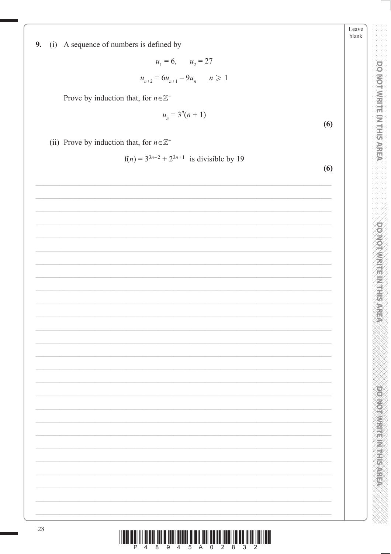Leave blank

**DO NOT WRITE IN THIS AREA** 

**DOMOTIVIRITY IN THIS AREA** 

**POSTOR AND RESIDENCE** 

9. (i) A sequence of numbers is defined by

 $u_1 = 6$ ,  $u_2 = 27$  $u_{n+2} = 6u_{n+1} - 9u_n$   $n \ge 1$ 

Prove by induction that, for  $n \in \mathbb{Z}^+$ 

$$
u_n = 3^n(n+1)
$$

(ii) Prove by induction that, for  $n \in \mathbb{Z}^+$ 

28

 $f(n) = 3^{3n-2} + 2^{3n+1}$  is divisible by 19

I ILDIILÊ III ZILDI ÎBILÊ ÎRIN ZILDI ÊMBIÎ ÎBILÊ ÎHBI ÎBERÊ ÎHILÊ ÎHBE ÎHBI ÎLDI

 $(6)$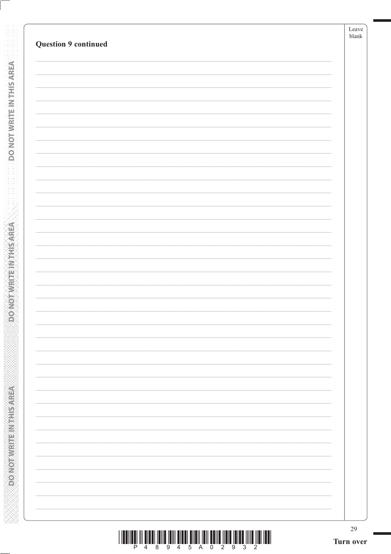**DO NOT WRITE INTERSAREA** 

**ASSESSMENT PROVIDED** 

| <u> I II dheer iyo dhamaan iskoo dhamaan iyo dhamaan iyo dhamaan iyo dhamaan iyo dhamaan iyo dhamaan iyo dhamaan i</u> |                         |  |  |  |  |  |
|------------------------------------------------------------------------------------------------------------------------|-------------------------|--|--|--|--|--|
|                                                                                                                        | P 4 8 9 4 5 A 0 2 9 3 2 |  |  |  |  |  |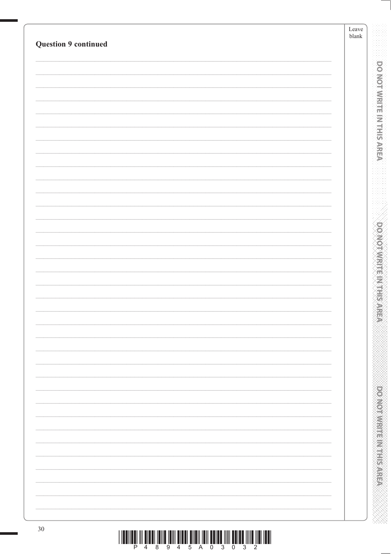| <b>Question 9 continued</b> | Leave<br>${\it blank}$ |                                  |
|-----------------------------|------------------------|----------------------------------|
|                             |                        |                                  |
|                             |                        | <b>DO MOT WRITE IN THIS AREA</b> |
|                             |                        |                                  |
|                             |                        |                                  |
|                             |                        |                                  |
|                             |                        |                                  |
|                             |                        |                                  |
|                             |                        |                                  |
|                             |                        |                                  |
|                             |                        |                                  |
|                             |                        |                                  |
|                             |                        |                                  |
|                             |                        |                                  |
|                             |                        |                                  |
|                             |                        |                                  |
|                             |                        |                                  |
|                             |                        |                                  |
|                             |                        |                                  |
|                             |                        |                                  |
|                             |                        |                                  |
|                             |                        |                                  |
|                             |                        |                                  |
|                             |                        |                                  |
|                             |                        |                                  |
|                             |                        |                                  |
|                             |                        |                                  |
|                             |                        |                                  |
|                             |                        |                                  |
|                             |                        |                                  |
|                             |                        |                                  |
|                             |                        |                                  |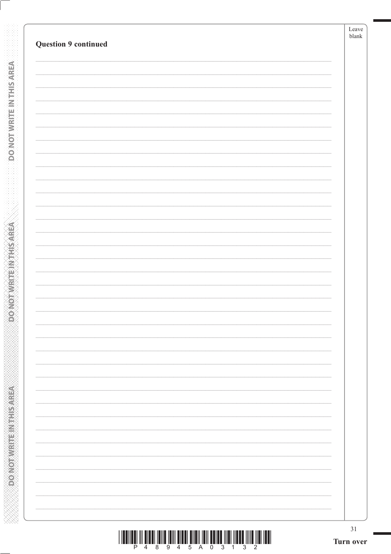| <b>Question 9 continued</b> |                          | blank |
|-----------------------------|--------------------------|-------|
|                             |                          |       |
|                             |                          |       |
|                             |                          |       |
|                             |                          |       |
|                             |                          |       |
|                             |                          |       |
|                             |                          |       |
|                             |                          |       |
|                             |                          |       |
|                             |                          |       |
|                             |                          |       |
|                             |                          |       |
|                             |                          |       |
|                             |                          |       |
|                             |                          |       |
|                             |                          |       |
|                             |                          |       |
|                             |                          |       |
|                             |                          |       |
|                             |                          |       |
|                             |                          |       |
|                             |                          |       |
|                             |                          |       |
|                             |                          |       |
|                             |                          |       |
|                             |                          |       |
|                             |                          |       |
|                             |                          |       |
|                             |                          |       |
|                             |                          |       |
|                             |                          |       |
|                             |                          |       |
|                             |                          |       |
|                             |                          |       |
|                             | $\overline{\phantom{0}}$ |       |
|                             |                          |       |
|                             |                          |       |

**DO NOT WRITE INTERSAREA** 

**ABING THE RIVERS ON GOVERN** 

| <u> I III MARIJI IN DIRIJI INI MARIJI IN MARIJI IN MARIJI IN MARIJI INI MARIJI INI MARIJI INI MARIJI INI MARIJI I</u> |  |  |  |  |  |  |
|-----------------------------------------------------------------------------------------------------------------------|--|--|--|--|--|--|
|                                                                                                                       |  |  |  |  |  |  |